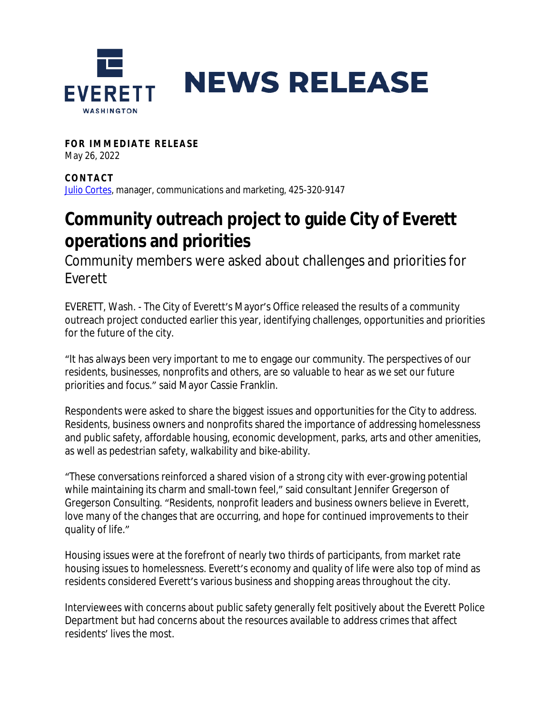

**FOR IMMEDIATE RELEASE** May 26, 2022

**CONTAC T** [Julio Cortes,](mailto:jcortes@everettwa.gov) manager, communications and marketing, 425-320-9147

## **Community outreach project to guide City of Everett operations and priorities**

Community members were asked about challenges and priorities for Everett

EVERETT, Wash. - The City of Everett's Mayor's Office released the results of a community outreach project conducted earlier this year, identifying challenges, opportunities and priorities for the future of the city.

"It has always been very important to me to engage our community. The perspectives of our residents, businesses, nonprofits and others, are so valuable to hear as we set our future priorities and focus." said Mayor Cassie Franklin.

Respondents were asked to share the biggest issues and opportunities for the City to address. Residents, business owners and nonprofits shared the importance of addressing homelessness and public safety, affordable housing, economic development, parks, arts and other amenities, as well as pedestrian safety, walkability and bike-ability.

"These conversations reinforced a shared vision of a strong city with ever-growing potential while maintaining its charm and small-town feel," said consultant Jennifer Gregerson of Gregerson Consulting. "Residents, nonprofit leaders and business owners believe in Everett, love many of the changes that are occurring, and hope for continued improvements to their quality of life."

Housing issues were at the forefront of nearly two thirds of participants, from market rate housing issues to homelessness. Everett's economy and quality of life were also top of mind as residents considered Everett's various business and shopping areas throughout the city.

Interviewees with concerns about public safety generally felt positively about the Everett Police Department but had concerns about the resources available to address crimes that affect residents' lives the most.